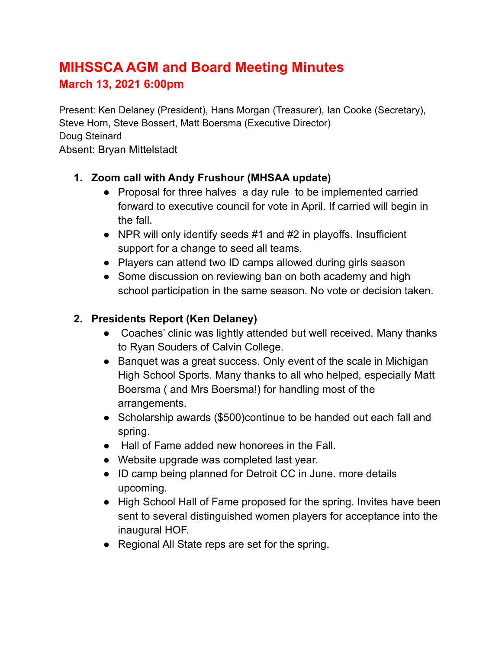# **MIHSSCA AGM and Board Meeting Minutes March 13, 2021 6:00pm**

Present: Ken Delaney (President), Hans Morgan (Treasurer), Ian Cooke (Secretary), Steve Horn, Steve Bossert, Matt Boersma (Executive Director) Doug Steinard Absent: Bryan Mittelstadt

## **1. Zoom call with Andy Frushour (MHSAA update)**

- Proposal for three halves a day rule to be implemented carried forward to executive council for vote in April. If carried will begin in the fall.
- $\bullet$  NPR will only identify seeds #1 and #2 in playoffs. Insufficient support for a change to seed all teams.
- Players can attend two ID camps allowed during girls season
- Some discussion on reviewing ban on both academy and high school participation in the same season. No vote or decision taken.

## **2. Presidents Report (Ken Delaney)**

- **●** Coaches' clinic was lightly attended but well received. Many thanks to Ryan Souders of Calvin College.
- Banquet was a great success. Only event of the scale in Michigan High School Sports. Many thanks to all who helped, especially Matt Boersma ( and Mrs Boersma!) for handling most of the arrangements.
- Scholarship awards (\$500)continue to be handed out each fall and spring.
- Hall of Fame added new honorees in the Fall.
- Website upgrade was completed last year.
- ID camp being planned for Detroit CC in June. more details upcoming.
- High School Hall of Fame proposed for the spring. Invites have been sent to several distinguished women players for acceptance into the inaugural HOF.
- Regional All State reps are set for the spring.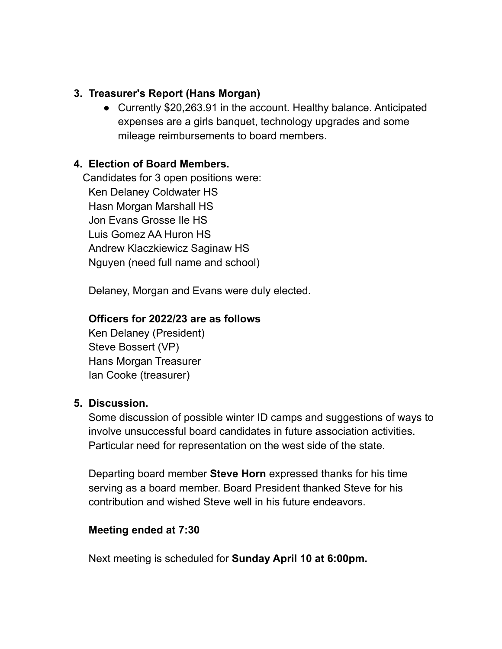### **3. Treasurer's Report (Hans Morgan)**

● Currently \$20,263.91 in the account. Healthy balance. Anticipated expenses are a girls banquet, technology upgrades and some mileage reimbursements to board members.

#### **4. Election of Board Members.**

Candidates for 3 open positions were: Ken Delaney Coldwater HS Hasn Morgan Marshall HS Jon Evans Grosse Ile HS Luis Gomez AA Huron HS Andrew Klaczkiewicz Saginaw HS Nguyen (need full name and school)

Delaney, Morgan and Evans were duly elected.

#### **Officers for 2022/23 are as follows**

Ken Delaney (President) Steve Bossert (VP) Hans Morgan Treasurer Ian Cooke (treasurer)

#### **5. Discussion.**

Some discussion of possible winter ID camps and suggestions of ways to involve unsuccessful board candidates in future association activities. Particular need for representation on the west side of the state.

Departing board member **Steve Horn** expressed thanks for his time serving as a board member. Board President thanked Steve for his contribution and wished Steve well in his future endeavors.

#### **Meeting ended at 7:30**

Next meeting is scheduled for **Sunday April 10 at 6:00pm.**